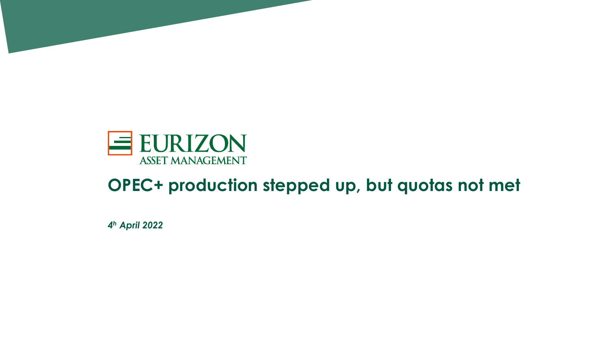

#### **OPEC+ production stepped up, but quotas not met**

*4 <sup>h</sup> April 2022*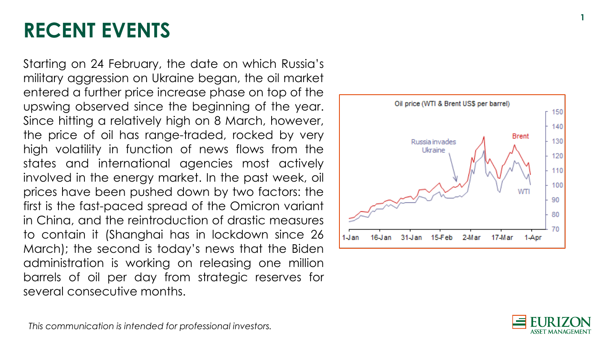#### **RECENT EVENTS**

Starting on 24 February, the date on which Russia's military aggression on Ukraine began, the oil market entered a further price increase phase on top of the upswing observed since the beginning of the year . Since hitting a relatively high on 8 March, however, the price of oil has range -traded, rocked by very high volatility in function of news flows from the states and international agencies most actively involved in the energy market . In the past week, oil prices have been pushed down by two factors : the first is the fast -paced spread of the Omicron variant in China, and the reintroduction of drastic measures to contain it (Shanghai has in lockdown since 26 March) ; the second is today's news that the Biden administration is working on releasing one million barrels of oil per day from strategic reserves for several consecutive months .





This communication is intended for professional investors.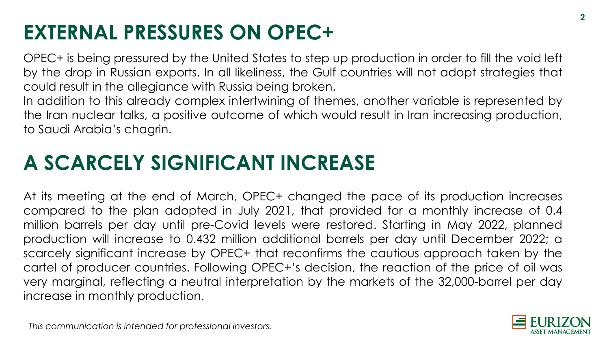# **EXTERNAL PRESSURES ON OPEC+**

OPEC+ is being pressured by the United States to step up production in order to fill the void left by the drop in Russian exports. In all likeliness, the Gulf countries will not adopt strategies that could result in the allegiance with Russia being broken.

In addition to this already complex intertwining of themes, another variable is represented by the Iran nuclear talks, a positive outcome of which would result in Iran increasing production, to Saudi Arabia's chagrin.

# **A SCARCELY SIGNIFICANT INCREASE**

At its meeting at the end of March, OPEC+ changed the pace of its production increases compared to the plan adopted in July 2021, that provided for a monthly increase of 0.4 million barrels per day until pre-Covid levels were restored. Starting in May 2022, planned production will increase to 0.432 million additional barrels per day until December 2022; a scarcely significant increase by OPEC+ that reconfirms the cautious approach taken by the cartel of producer countries. Following OPEC+'s decision, the reaction of the price of oil was very marginal, reflecting a neutral interpretation by the markets of the 32,000-barrel per day increase in monthly production.

This communication is intended for professional investors.

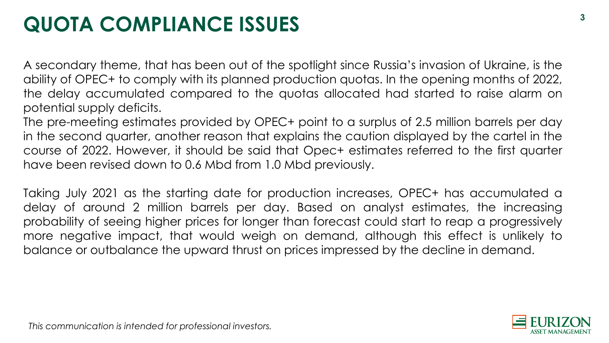# **QUOTA COMPLIANCE ISSUES**

A secondary theme, that has been out of the spotlight since Russia's invasion of Ukraine, is the ability of OPEC+ to comply with its planned production quotas. In the opening months of 2022, the delay accumulated compared to the quotas allocated had started to raise alarm on potential supply deficits.

The pre-meeting estimates provided by OPEC+ point to a surplus of 2.5 million barrels per day in the second quarter, another reason that explains the caution displayed by the cartel in the course of 2022. However, it should be said that Opec+ estimates referred to the first quarter have been revised down to 0.6 Mbd from 1.0 Mbd previously.

Taking July 2021 as the starting date for production increases, OPEC+ has accumulated a delay of around 2 million barrels per day. Based on analyst estimates, the increasing probability of seeing higher prices for longer than forecast could start to reap a progressively more negative impact, that would weigh on demand, although this effect is unlikely to balance or outbalance the upward thrust on prices impressed by the decline in demand.

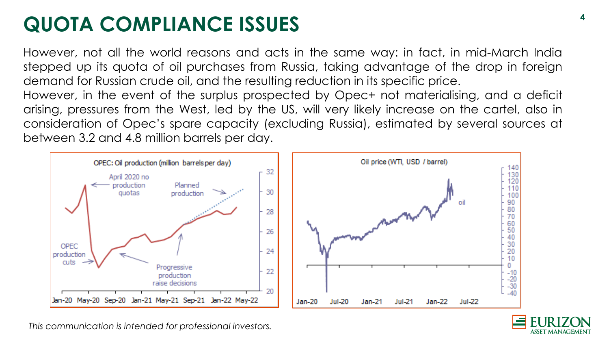# **QUOTA COMPLIANCE ISSUES**

However, not all the world reasons and acts in the same way: in fact, in mid-March India stepped up its quota of oil purchases from Russia, taking advantage of the drop in foreign demand for Russian crude oil, and the resulting reduction in its specific price.

However, in the event of the surplus prospected by Opec+ not materialising, and a deficit arising, pressures from the West, led by the US, will very likely increase on the cartel, also in consideration of Opec's spare capacity (excluding Russia), estimated by several sources at between 3.2 and 4.8 million barrels per day.





This communication is intended for professional investors.